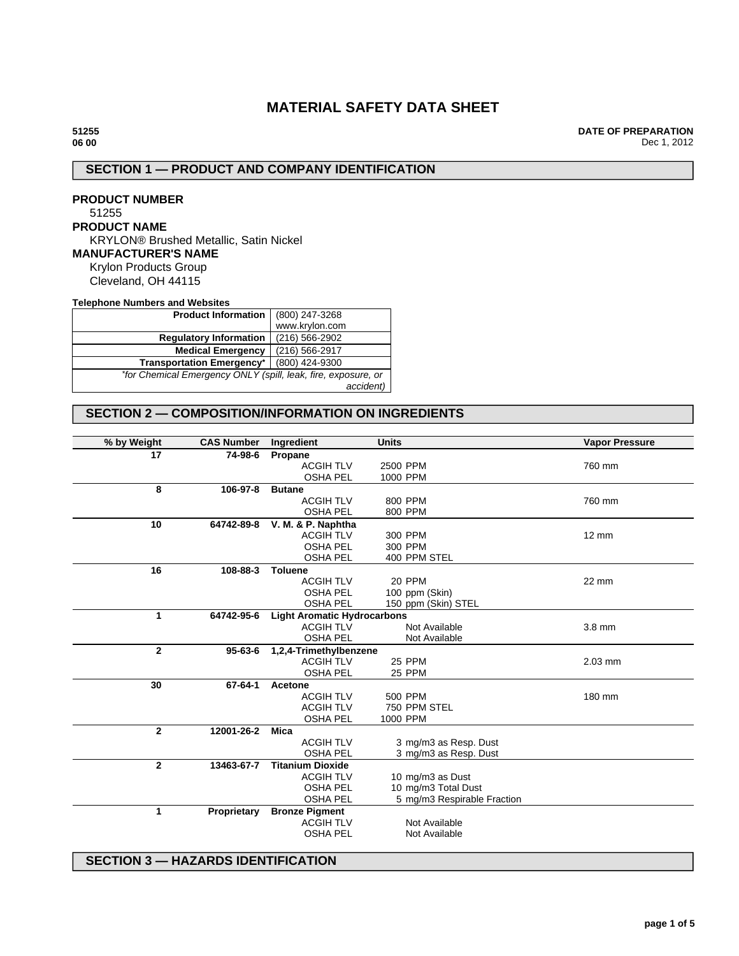# **MATERIAL SAFETY DATA SHEET**

**DATE OF PREPARATION** Dec 1, 2012

# **SECTION 1 — PRODUCT AND COMPANY IDENTIFICATION**

**PRODUCT NUMBER** 51255 **PRODUCT NAME** KRYLON® Brushed Metallic, Satin Nickel **MANUFACTURER'S NAME** Krylon Products Group Cleveland, OH 44115

**Telephone Numbers and Websites**

| <b>Product Information</b>                                    | (800) 247-3268 |
|---------------------------------------------------------------|----------------|
|                                                               | www.krylon.com |
| <b>Regulatory Information</b>                                 | (216) 566-2902 |
| <b>Medical Emergency</b>                                      | (216) 566-2917 |
| <b>Transportation Emergency*</b>                              | (800) 424-9300 |
| *for Chemical Emergency ONLY (spill, leak, fire, exposure, or |                |
|                                                               | accident)      |

# **SECTION 2 — COMPOSITION/INFORMATION ON INGREDIENTS**

| % by Weight    | <b>CAS Number</b> | Ingredient                         | <b>Units</b>                | <b>Vapor Pressure</b> |
|----------------|-------------------|------------------------------------|-----------------------------|-----------------------|
| 17             | 74-98-6           | Propane                            |                             |                       |
|                |                   | <b>ACGIH TLV</b>                   | 2500 PPM                    | 760 mm                |
|                |                   | <b>OSHA PEL</b>                    | 1000 PPM                    |                       |
| 8              | 106-97-8          | <b>Butane</b>                      |                             |                       |
|                |                   | <b>ACGIH TLV</b>                   | 800 PPM                     | 760 mm                |
|                |                   | <b>OSHA PEL</b>                    | 800 PPM                     |                       |
| 10             | 64742-89-8        | V. M. & P. Naphtha                 |                             |                       |
|                |                   | <b>ACGIH TLV</b>                   | 300 PPM                     | $12 \text{ mm}$       |
|                |                   | <b>OSHA PEL</b>                    | 300 PPM                     |                       |
|                |                   | <b>OSHA PEL</b>                    | 400 PPM STEL                |                       |
| 16             | 108-88-3          | <b>Toluene</b>                     |                             |                       |
|                |                   | <b>ACGIH TLV</b>                   | 20 PPM                      | 22 mm                 |
|                |                   | <b>OSHA PEL</b>                    |                             |                       |
|                |                   | <b>OSHA PEL</b>                    | 100 ppm (Skin)              |                       |
|                |                   |                                    | 150 ppm (Skin) STEL         |                       |
| $\mathbf{1}$   | 64742-95-6        | <b>Light Aromatic Hydrocarbons</b> |                             |                       |
|                |                   | <b>ACGIH TLV</b>                   | Not Available               | 3.8 mm                |
|                |                   | <b>OSHA PEL</b>                    | Not Available               |                       |
| $\overline{2}$ | $95 - 63 - 6$     | 1,2,4-Trimethylbenzene             |                             |                       |
|                |                   | <b>ACGIH TLV</b>                   | <b>25 PPM</b>               | $2.03$ mm             |
|                |                   | <b>OSHA PEL</b>                    | <b>25 PPM</b>               |                       |
| 30             | 67-64-1           | <b>Acetone</b>                     |                             |                       |
|                |                   | <b>ACGIH TLV</b>                   | 500 PPM                     | 180 mm                |
|                |                   | <b>ACGIH TLV</b>                   | 750 PPM STEL                |                       |
|                |                   | <b>OSHA PEL</b>                    | 1000 PPM                    |                       |
| $\mathbf{2}$   | 12001-26-2        | <b>Mica</b>                        |                             |                       |
|                |                   | <b>ACGIH TLV</b>                   | 3 mg/m3 as Resp. Dust       |                       |
|                |                   | <b>OSHA PEL</b>                    | 3 mg/m3 as Resp. Dust       |                       |
| $\mathbf{2}$   | 13463-67-7        | <b>Titanium Dioxide</b>            |                             |                       |
|                |                   | <b>ACGIH TLV</b>                   | 10 mg/m3 as Dust            |                       |
|                |                   | <b>OSHA PEL</b>                    | 10 mg/m3 Total Dust         |                       |
|                |                   | <b>OSHA PEL</b>                    | 5 mg/m3 Respirable Fraction |                       |
| 1              | Proprietary       | <b>Bronze Pigment</b>              |                             |                       |
|                |                   | <b>ACGIH TLV</b>                   | Not Available               |                       |
|                |                   | <b>OSHA PEL</b>                    | Not Available               |                       |
|                |                   |                                    |                             |                       |

## **SECTION 3 — HAZARDS IDENTIFICATION**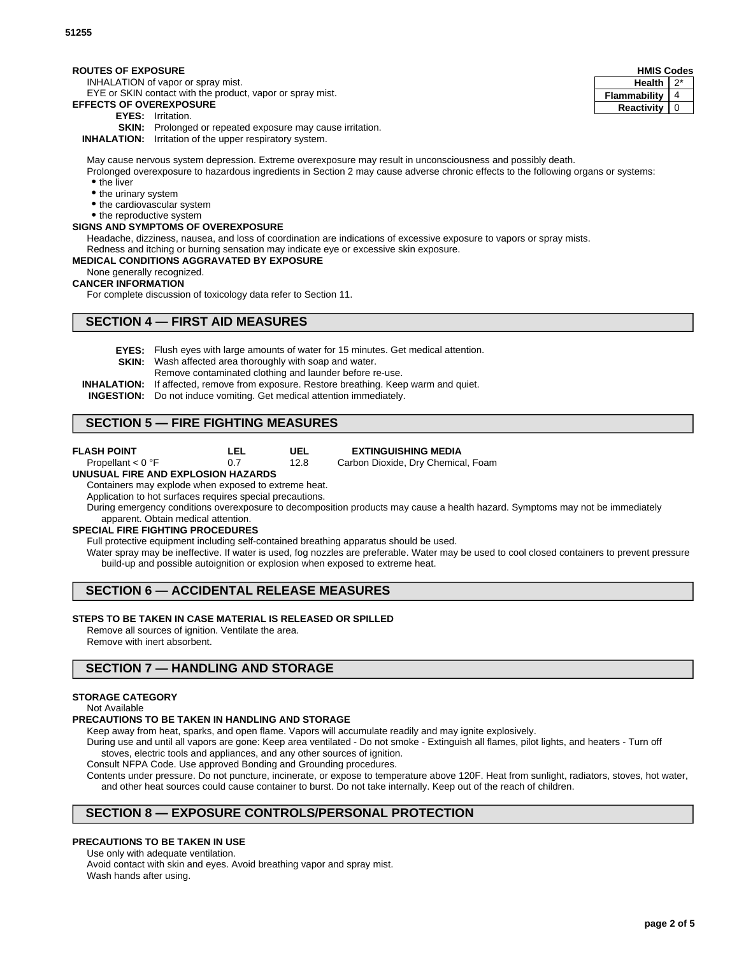## **ROUTES OF EXPOSURE**

INHALATION of vapor or spray mist.

EYE or SKIN contact with the product, vapor or spray mist.

## **EFFECTS OF OVEREXPOSURE**

- **EYES:** Irritation.
- **SKIN:** Prolonged or repeated exposure may cause irritation.

**INHALATION:** Irritation of the upper respiratory system.

May cause nervous system depression. Extreme overexposure may result in unconsciousness and possibly death.

Prolonged overexposure to hazardous ingredients in Section 2 may cause adverse chronic effects to the following organs or systems: • the liver

- the urinary system
- the cardiovascular system
- the reproductive system

## **SIGNS AND SYMPTOMS OF OVEREXPOSURE**

Headache, dizziness, nausea, and loss of coordination are indications of excessive exposure to vapors or spray mists. Redness and itching or burning sensation may indicate eye or excessive skin exposure.

**MEDICAL CONDITIONS AGGRAVATED BY EXPOSURE**

# None generally recognized.

# **CANCER INFORMATION**

For complete discussion of toxicology data refer to Section 11.

# **SECTION 4 — FIRST AID MEASURES**

- **EYES:** Flush eyes with large amounts of water for 15 minutes. Get medical attention.
- **SKIN:** Wash affected area thoroughly with soap and water.
	- Remove contaminated clothing and launder before re-use.
- **INHALATION:** If affected, remove from exposure. Restore breathing. Keep warm and quiet.
- **INGESTION:** Do not induce vomiting. Get medical attention immediately.

# **SECTION 5 — FIRE FIGHTING MEASURES**

- **FLASH POINT** Propellant < 0 °F
- **LEL** 0.7

**EXTINGUISHING MEDIA**

Carbon Dioxide, Dry Chemical, Foam

#### **UNUSUAL FIRE AND EXPLOSION HAZARDS**

Containers may explode when exposed to extreme heat.

Application to hot surfaces requires special precautions.

During emergency conditions overexposure to decomposition products may cause a health hazard. Symptoms may not be immediately apparent. Obtain medical attention.

### **SPECIAL FIRE FIGHTING PROCEDURES**

Full protective equipment including self-contained breathing apparatus should be used.

Water spray may be ineffective. If water is used, fog nozzles are preferable. Water may be used to cool closed containers to prevent pressure build-up and possible autoignition or explosion when exposed to extreme heat.

# **SECTION 6 — ACCIDENTAL RELEASE MEASURES**

#### **STEPS TO BE TAKEN IN CASE MATERIAL IS RELEASED OR SPILLED**

Remove all sources of ignition. Ventilate the area.

Remove with inert absorbent.

## **SECTION 7 — HANDLING AND STORAGE**

### **STORAGE CATEGORY**

Not Available

#### **PRECAUTIONS TO BE TAKEN IN HANDLING AND STORAGE**

Keep away from heat, sparks, and open flame. Vapors will accumulate readily and may ignite explosively.

During use and until all vapors are gone: Keep area ventilated - Do not smoke - Extinguish all flames, pilot lights, and heaters - Turn off stoves, electric tools and appliances, and any other sources of ignition.

Consult NFPA Code. Use approved Bonding and Grounding procedures.

Contents under pressure. Do not puncture, incinerate, or expose to temperature above 120F. Heat from sunlight, radiators, stoves, hot water, and other heat sources could cause container to burst. Do not take internally. Keep out of the reach of children.

# **SECTION 8 — EXPOSURE CONTROLS/PERSONAL PROTECTION**

## **PRECAUTIONS TO BE TAKEN IN USE**

Use only with adequate ventilation. Avoid contact with skin and eyes. Avoid breathing vapor and spray mist.

Wash hands after using.

| <b>HMIS Codes</b> |  |  |
|-------------------|--|--|
| <b>Health</b>     |  |  |
| Flammability      |  |  |
| Reactivity        |  |  |

**UEL** 12.8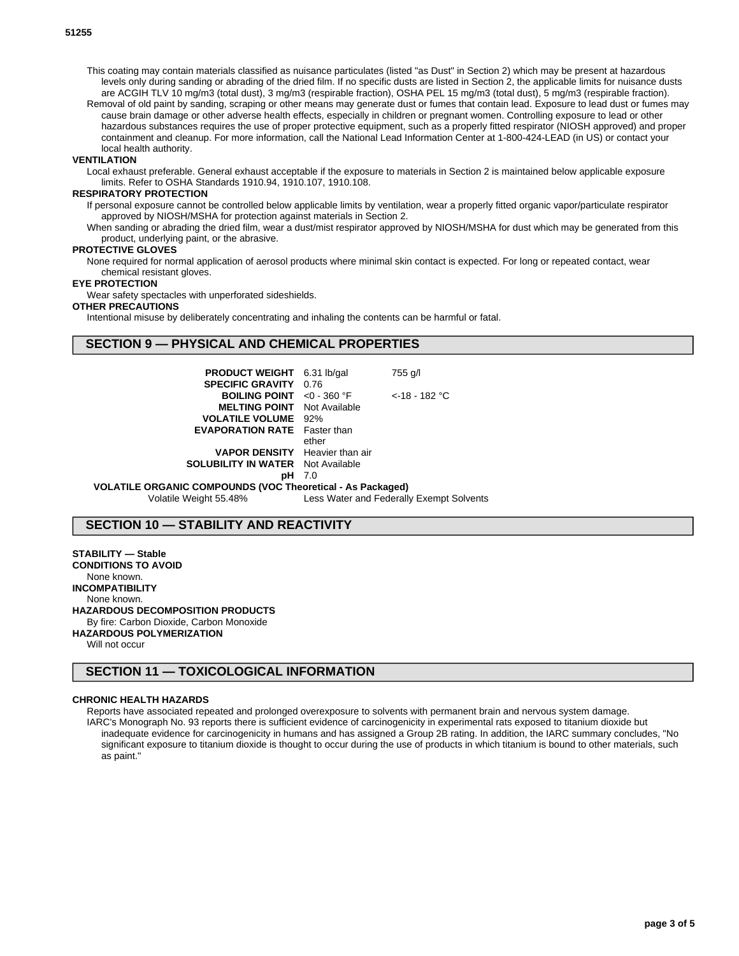This coating may contain materials classified as nuisance particulates (listed "as Dust" in Section 2) which may be present at hazardous levels only during sanding or abrading of the dried film. If no specific dusts are listed in Section 2, the applicable limits for nuisance dusts are ACGIH TLV 10 mg/m3 (total dust), 3 mg/m3 (respirable fraction), OSHA PEL 15 mg/m3 (total dust), 5 mg/m3 (respirable fraction).

Removal of old paint by sanding, scraping or other means may generate dust or fumes that contain lead. Exposure to lead dust or fumes may cause brain damage or other adverse health effects, especially in children or pregnant women. Controlling exposure to lead or other hazardous substances requires the use of proper protective equipment, such as a properly fitted respirator (NIOSH approved) and proper containment and cleanup. For more information, call the National Lead Information Center at 1-800-424-LEAD (in US) or contact your local health authority.

#### **VENTILATION**

Local exhaust preferable. General exhaust acceptable if the exposure to materials in Section 2 is maintained below applicable exposure limits. Refer to OSHA Standards 1910.94, 1910.107, 1910.108.

#### **RESPIRATORY PROTECTION**

If personal exposure cannot be controlled below applicable limits by ventilation, wear a properly fitted organic vapor/particulate respirator approved by NIOSH/MSHA for protection against materials in Section 2.

When sanding or abrading the dried film, wear a dust/mist respirator approved by NIOSH/MSHA for dust which may be generated from this product, underlying paint, or the abrasive.

### **PROTECTIVE GLOVES**

None required for normal application of aerosol products where minimal skin contact is expected. For long or repeated contact, wear chemical resistant gloves.

#### **EYE PROTECTION**

Wear safety spectacles with unperforated sideshields.

### **OTHER PRECAUTIONS**

Intentional misuse by deliberately concentrating and inhaling the contents can be harmful or fatal.

### **SECTION 9 — PHYSICAL AND CHEMICAL PROPERTIES**

| <b>PRODUCT WEIGHT</b> 6.31 lb/gal                                 |               | 755 g/l            |  |
|-------------------------------------------------------------------|---------------|--------------------|--|
| <b>SPECIFIC GRAVITY 0.76</b>                                      |               |                    |  |
| <b>BOILING POINT</b> $\leq 0$ - 360 °F                            |               | $\leq$ 18 - 182 °C |  |
| <b>MELTING POINT</b> Not Available                                |               |                    |  |
| <b>VOLATILE VOLUME</b> 92%                                        |               |                    |  |
| <b>EVAPORATION RATE</b> Faster than                               |               |                    |  |
|                                                                   | ether         |                    |  |
| <b>VAPOR DENSITY</b> Heavier than air                             |               |                    |  |
| <b>SOLUBILITY IN WATER</b> Not Available                          |               |                    |  |
|                                                                   | <b>pH</b> 7.0 |                    |  |
| <b>VOLATILE ORGANIC COMPOUNDS (VOC Theoretical - As Packaged)</b> |               |                    |  |
|                                                                   |               |                    |  |

Volatile Weight 55.48% Less Water and Federally Exempt Solvents

## **SECTION 10 — STABILITY AND REACTIVITY**

**STABILITY — Stable CONDITIONS TO AVOID** None known. **INCOMPATIBILITY** None known. **HAZARDOUS DECOMPOSITION PRODUCTS** By fire: Carbon Dioxide, Carbon Monoxide **HAZARDOUS POLYMERIZATION** Will not occur

**SECTION 11 — TOXICOLOGICAL INFORMATION**

#### **CHRONIC HEALTH HAZARDS**

Reports have associated repeated and prolonged overexposure to solvents with permanent brain and nervous system damage. IARC's Monograph No. 93 reports there is sufficient evidence of carcinogenicity in experimental rats exposed to titanium dioxide but inadequate evidence for carcinogenicity in humans and has assigned a Group 2B rating. In addition, the IARC summary concludes, "No significant exposure to titanium dioxide is thought to occur during the use of products in which titanium is bound to other materials, such as paint."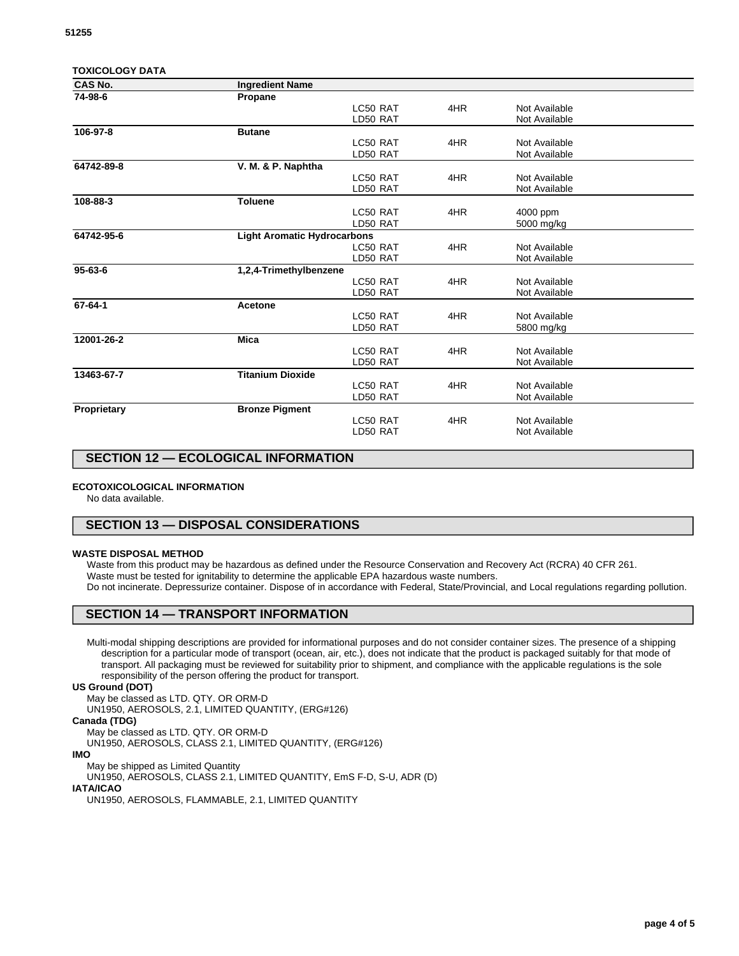| <b>TOXICOLOGY DATA</b> |                                    |          |     |               |  |
|------------------------|------------------------------------|----------|-----|---------------|--|
| <b>CAS No.</b>         | <b>Ingredient Name</b>             |          |     |               |  |
| 74-98-6                | Propane                            |          |     |               |  |
|                        |                                    | LC50 RAT | 4HR | Not Available |  |
|                        |                                    | LD50 RAT |     | Not Available |  |
| 106-97-8               | <b>Butane</b>                      |          |     |               |  |
|                        |                                    | LC50 RAT | 4HR | Not Available |  |
|                        |                                    | LD50 RAT |     | Not Available |  |
| 64742-89-8             | V. M. & P. Naphtha                 |          |     |               |  |
|                        |                                    | LC50 RAT | 4HR | Not Available |  |
|                        |                                    | LD50 RAT |     | Not Available |  |
| 108-88-3               | <b>Toluene</b>                     |          |     |               |  |
|                        |                                    | LC50 RAT | 4HR | 4000 ppm      |  |
|                        |                                    | LD50 RAT |     | 5000 mg/kg    |  |
| 64742-95-6             | <b>Light Aromatic Hydrocarbons</b> |          |     |               |  |
|                        |                                    | LC50 RAT | 4HR | Not Available |  |
|                        |                                    | LD50 RAT |     | Not Available |  |
| $95 - 63 - 6$          | 1,2,4-Trimethylbenzene             |          |     |               |  |
|                        |                                    | LC50 RAT | 4HR | Not Available |  |
|                        |                                    | LD50 RAT |     | Not Available |  |
| 67-64-1                | Acetone                            |          |     |               |  |
|                        |                                    | LC50 RAT | 4HR | Not Available |  |
|                        |                                    | LD50 RAT |     | 5800 mg/kg    |  |
| 12001-26-2             | <b>Mica</b>                        |          |     |               |  |
|                        |                                    | LC50 RAT | 4HR | Not Available |  |
|                        |                                    | LD50 RAT |     | Not Available |  |
| 13463-67-7             | <b>Titanium Dioxide</b>            |          |     |               |  |
|                        |                                    | LC50 RAT | 4HR | Not Available |  |
|                        |                                    | LD50 RAT |     | Not Available |  |
| Proprietary            | <b>Bronze Pigment</b>              |          |     |               |  |
|                        |                                    | LC50 RAT | 4HR | Not Available |  |
|                        |                                    | LD50 RAT |     | Not Available |  |
|                        |                                    |          |     |               |  |
|                        |                                    |          |     |               |  |

# **SECTION 12 — ECOLOGICAL INFORMATION**

#### **ECOTOXICOLOGICAL INFORMATION**

No data available.

## **SECTION 13 — DISPOSAL CONSIDERATIONS**

#### **WASTE DISPOSAL METHOD**

Waste from this product may be hazardous as defined under the Resource Conservation and Recovery Act (RCRA) 40 CFR 261. Waste must be tested for ignitability to determine the applicable EPA hazardous waste numbers. Do not incinerate. Depressurize container. Dispose of in accordance with Federal, State/Provincial, and Local regulations regarding pollution.

## **SECTION 14 — TRANSPORT INFORMATION**

Multi-modal shipping descriptions are provided for informational purposes and do not consider container sizes. The presence of a shipping description for a particular mode of transport (ocean, air, etc.), does not indicate that the product is packaged suitably for that mode of transport. All packaging must be reviewed for suitability prior to shipment, and compliance with the applicable regulations is the sole responsibility of the person offering the product for transport.

#### **US Ground (DOT)**

May be classed as LTD. QTY. OR ORM-D UN1950, AEROSOLS, 2.1, LIMITED QUANTITY, (ERG#126) **Canada (TDG)** May be classed as LTD. QTY. OR ORM-D UN1950, AEROSOLS, CLASS 2.1, LIMITED QUANTITY, (ERG#126)

**IMO**

May be shipped as Limited Quantity

UN1950, AEROSOLS, CLASS 2.1, LIMITED QUANTITY, EmS F-D, S-U, ADR (D)

**IATA/ICAO**

UN1950, AEROSOLS, FLAMMABLE, 2.1, LIMITED QUANTITY